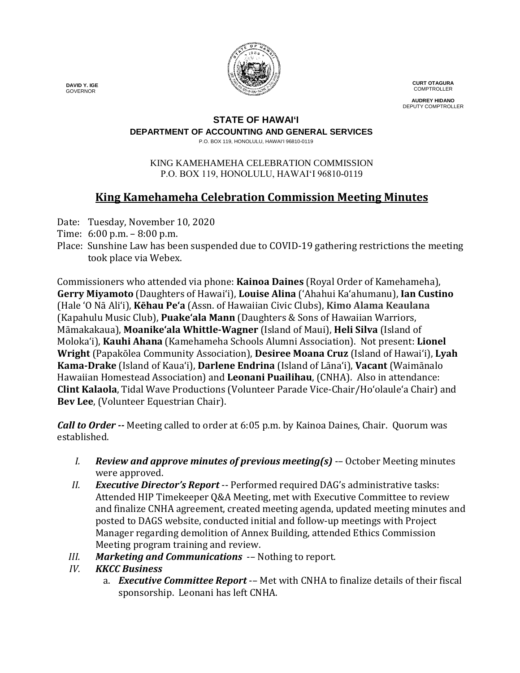

**CURT OTAGURA COMPTROLLER** 

**AUDREY HIDANO** DEPUTY COMPTROLLER

#### **STATE OF HAWAI'I**

**DEPARTMENT OF ACCOUNTING AND GENERAL SERVICES**

P.O. BOX 119, HONOLULU, HAWAI'I 96810-0119

#### KING KAMEHAMEHA CELEBRATION COMMISSION P.O. BOX 119, HONOLULU, HAWAIʻI 96810-0119

# **King Kamehameha Celebration Commission Meeting Minutes**

- Date: Tuesday, November 10, 2020
- Time: 6:00 p.m. 8:00 p.m.
- Place: Sunshine Law has been suspended due to COVID-19 gathering restrictions the meeting took place via Webex.

Commissioners who attended via phone: **Kainoa Daines** (Royal Order of Kamehameha), **Gerry Miyamoto** (Daughters of Hawai'i), **Louise Alina** ('Ahahui Ka'ahumanu), **Ian Custino** (Hale 'O Nā Ali'i), **Kēhau Pe'a** (Assn. of Hawaiian Civic Clubs), **Kimo Alama Keaulana** (Kapahulu Music Club), **Puake'ala Mann** (Daughters & Sons of Hawaiian Warriors, Māmakakaua), **Moanike'ala Whittle-Wagner** (Island of Maui), **Heli Silva** (Island of Molokaʻi), **Kauhi Ahana** (Kamehameha Schools Alumni Association). Not present: **Lionel Wright** (Papakōlea Community Association), **Desiree Moana Cruz** (Island of Hawai'i), **Lyah Kama-Drake** (Island of Kaua'i), **Darlene Endrina** (Island of Lāna'i), **Vacant** (Waimānalo Hawaiian Homestead Association) and **Leonani Puailihau**, (CNHA). Also in attendance: **Clint Kalaola**, Tidal Wave Productions (Volunteer Parade Vice-Chair/Ho'olaule'a Chair) and **Bev Lee**, (Volunteer Equestrian Chair).

*Call to Order --* Meeting called to order at 6:05 p.m. by Kainoa Daines, Chair. Quorum was established.

- *I. Review and approve minutes of previous meeting(s)* -– October Meeting minutes were approved.
- *II. Executive Director's Report* -- Performed required DAG's administrative tasks: Attended HIP Timekeeper Q&A Meeting, met with Executive Committee to review and finalize CNHA agreement, created meeting agenda, updated meeting minutes and posted to DAGS website, conducted initial and follow-up meetings with Project Manager regarding demolition of Annex Building, attended Ethics Commission Meeting program training and review.
- *III. Marketing and Communications* -- Nothing to report.<br>*IV. KKCC Business*
- *IV. KKCC Business* 
	- a. *Executive Committee Report* -– Met with CNHA to finalize details of their fiscal sponsorship. Leonani has left CNHA.

 **DAVID Y. IGE** GOVERNOR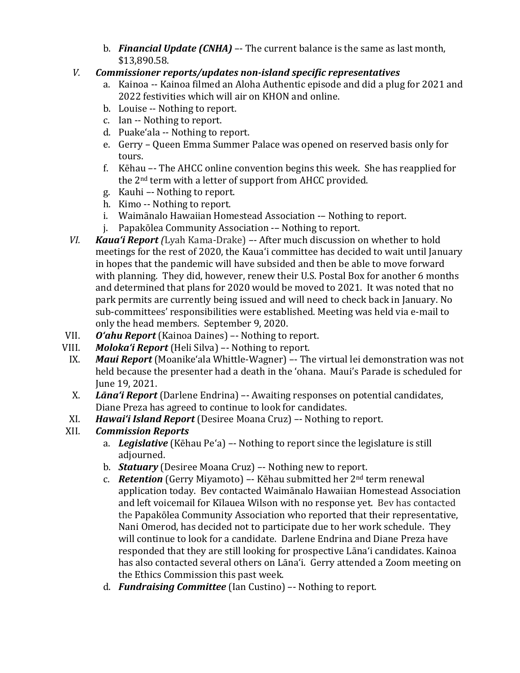b. *Financial Update (CNHA)* –- The current balance is the same as last month, \$13,890.58.

### *V. Commissioner reports/updates non-island specific representatives*

- a. Kainoa -- Kainoa filmed an Aloha Authentic episode and did a plug for 2021 and 2022 festivities which will air on KHON and online.
- b. Louise -- Nothing to report.
- c. Ian -- Nothing to report.
- d. Puakeʻala -- Nothing to report.
- e. Gerry Queen Emma Summer Palace was opened on reserved basis only for tours.
- f. Kēhau –- The AHCC online convention begins this week. She has reapplied for the 2nd term with a letter of support from AHCC provided.
- g. Kauhi –- Nothing to report.
- h. Kimo -- Nothing to report.
- i. Waimānalo Hawaiian Homestead Association -– Nothing to report.
- j. Papakōlea Community Association -– Nothing to report.
- *VI. Kaua'i Report (*Lyah Kama-Drake) *–-* After much discussion on whether to hold meetings for the rest of 2020, the Kaua'i committee has decided to wait until January in hopes that the pandemic will have subsided and then be able to move forward with planning. They did, however, renew their U.S. Postal Box for another 6 months and determined that plans for 2020 would be moved to 2021. It was noted that no park permits are currently being issued and will need to check back in January. No sub-committees' responsibilities were established. Meeting was held via e-mail to only the head members. September 9, 2020.
- VII. *O'ahu Report* (Kainoa Daines) –- Nothing to report.
- III. **Moloka'i Report** (Heli Silva) –- Nothing to report.<br>IX. **Maui Report** (Moanike'ala Whittle-Wagner) –- Th
- *Maui Report* (Moanike'ala Whittle-Wagner) –- The virtual lei demonstration was not held because the presenter had a death in the ʻohana. Maui's Parade is scheduled for June 19, 2021.
	- X. *Lāna'i Report* (Darlene Endrina) –- Awaiting responses on potential candidates, Diane Preza has agreed to continue to look for candidates.
- XI. *Hawai'i Island Report* (Desiree Moana Cruz) –- Nothing to report.

## *Commission Reports*

- a. *Legislative* (Kēhau Pe'a) –- Nothing to report since the legislature is still adiourned.
- b. *Statuary* (Desiree Moana Cruz) –- Nothing new to report.
- c. *Retention* (Gerry Miyamoto) –- Kēhau submitted her 2nd term renewal application today. Bev contacted Waimānalo Hawaiian Homestead Association and left voicemail for Kīlauea Wilson with no response yet. Bev has contacted the Papakōlea Community Association who reported that their representative, Nani Omerod, has decided not to participate due to her work schedule. They will continue to look for a candidate. Darlene Endrina and Diane Preza have responded that they are still looking for prospective Lāna'i candidates. Kainoa has also contacted several others on Lāna'i. Gerry attended a Zoom meeting on the Ethics Commission this past week.
- d. *Fundraising Committee* (Ian Custino) –- Nothing to report.